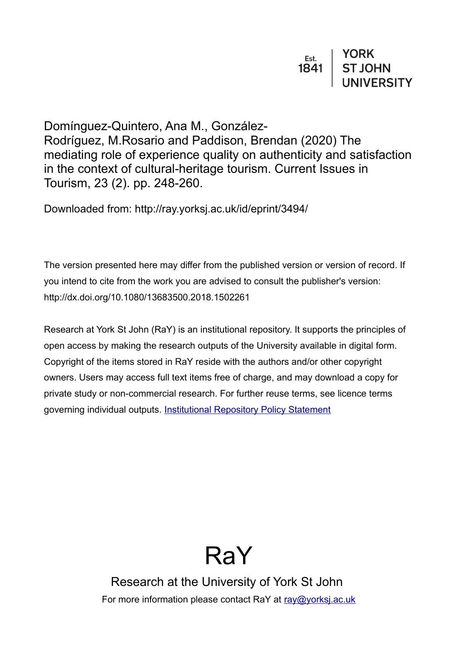| Est. | <b>YORK</b>       |
|------|-------------------|
| 1841 | <b>ST JOHN</b>    |
|      | <b>UNIVERSITY</b> |

Domínguez-Quintero, Ana M., González-Rodríguez, M.Rosario and Paddison, Brendan (2020) The mediating role of experience quality on authenticity and satisfaction in the context of cultural-heritage tourism. Current Issues in Tourism, 23 (2). pp. 248-260.

Downloaded from: http://ray.yorksj.ac.uk/id/eprint/3494/

The version presented here may differ from the published version or version of record. If you intend to cite from the work you are advised to consult the publisher's version: http://dx.doi.org/10.1080/13683500.2018.1502261

Research at York St John (RaY) is an institutional repository. It supports the principles of open access by making the research outputs of the University available in digital form. Copyright of the items stored in RaY reside with the authors and/or other copyright owners. Users may access full text items free of charge, and may download a copy for private study or non-commercial research. For further reuse terms, see licence terms governing individual outputs. [Institutional Repository Policy Statement](https://www.yorksj.ac.uk/ils/repository-policies/)



Research at the University of York St John For more information please contact RaY at [ray@yorksj.ac.uk](mailto:ray@yorksj.ac.uk)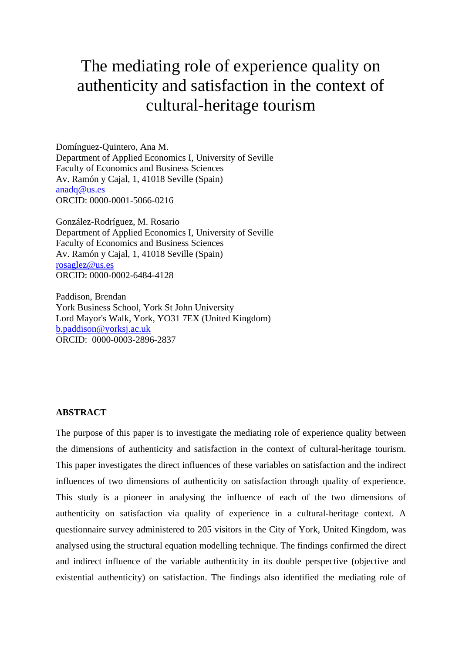# The mediating role of experience quality on authenticity and satisfaction in the context of cultural-heritage tourism

Domínguez-Quintero, Ana M. Department of Applied Economics I, University of Seville Faculty of Economics and Business Sciences Av. Ramón y Cajal, 1, 41018 Seville (Spain) [anadq@us.es](mailto:anadq@us.es) ORCID: 0000-0001-5066-0216

González-Rodríguez, M. Rosario Department of Applied Economics I, University of Seville Faculty of Economics and Business Sciences Av. Ramón y Cajal, 1, 41018 Seville (Spain) [rosaglez@us.es](mailto:rosaglez@us.es) ORCID: [0000-0002-6484-4128](https://orcid.org/0000-0002-6484-4128)

Paddison, Brendan York Business School, York St John University Lord Mayor's Walk, York, YO31 7EX (United Kingdom) [b.paddison@yorksj.ac.uk](mailto:b.paddison@yorksj.ac.uk) ORCID: [0000-0003-2896-2837](https://orcid.org/0000-0003-2896-2837)

# **ABSTRACT**

The purpose of this paper is to investigate the mediating role of experience quality between the dimensions of authenticity and satisfaction in the context of cultural-heritage tourism. This paper investigates the direct influences of these variables on satisfaction and the indirect influences of two dimensions of authenticity on satisfaction through quality of experience. This study is a pioneer in analysing the influence of each of the two dimensions of authenticity on satisfaction via quality of experience in a cultural-heritage context. A questionnaire survey administered to 205 visitors in the City of York, United Kingdom, was analysed using the structural equation modelling technique. The findings confirmed the direct and indirect influence of the variable authenticity in its double perspective (objective and existential authenticity) on satisfaction. The findings also identified the mediating role of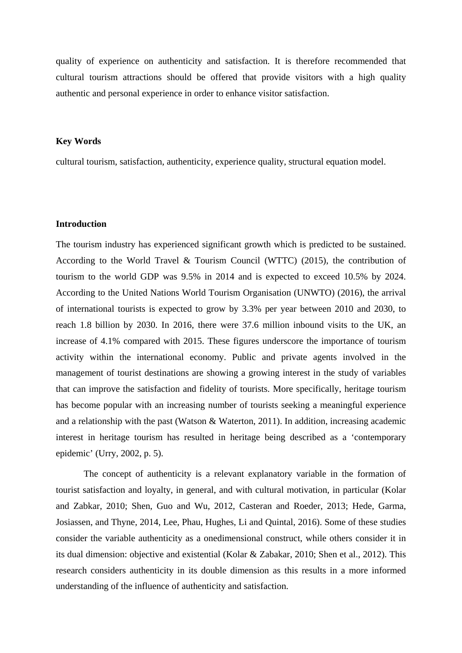quality of experience on authenticity and satisfaction. It is therefore recommended that cultural tourism attractions should be offered that provide visitors with a high quality authentic and personal experience in order to enhance visitor satisfaction.

# **Key Words**

cultural tourism, satisfaction, authenticity, experience quality, structural equation model.

#### **Introduction**

The tourism industry has experienced significant growth which is predicted to be sustained. According to the World Travel & Tourism Council (WTTC) (2015), the contribution of tourism to the world GDP was 9.5% in 2014 and is expected to exceed 10.5% by 2024. According to the United Nations World Tourism Organisation (UNWTO) (2016), the arrival of international tourists is expected to grow by 3.3% per year between 2010 and 2030, to reach 1.8 billion by 2030. In 2016, there were 37.6 million inbound visits to the UK, an increase of 4.1% compared with 2015. These figures underscore the importance of tourism activity within the international economy. Public and private agents involved in the management of tourist destinations are showing a growing interest in the study of variables that can improve the satisfaction and fidelity of tourists. More specifically, heritage tourism has become popular with an increasing number of tourists seeking a meaningful experience and a relationship with the past (Watson & Waterton, 2011). In addition, increasing academic interest in heritage tourism has resulted in heritage being described as a 'contemporary epidemic' (Urry, 2002, p. 5).

The concept of authenticity is a relevant explanatory variable in the formation of tourist satisfaction and loyalty, in general, and with cultural motivation, in particular (Kolar and Zabkar, 2010; Shen, Guo and Wu, 2012, Casteran and Roeder, 2013; Hede, Garma, Josiassen, and Thyne, 2014, Lee, Phau, Hughes, Li and Quintal, 2016). Some of these studies consider the variable authenticity as a onedimensional construct, while others consider it in its dual dimension: objective and existential (Kolar & Zabakar, 2010; Shen et al., 2012). This research considers authenticity in its double dimension as this results in a more informed understanding of the influence of authenticity and satisfaction.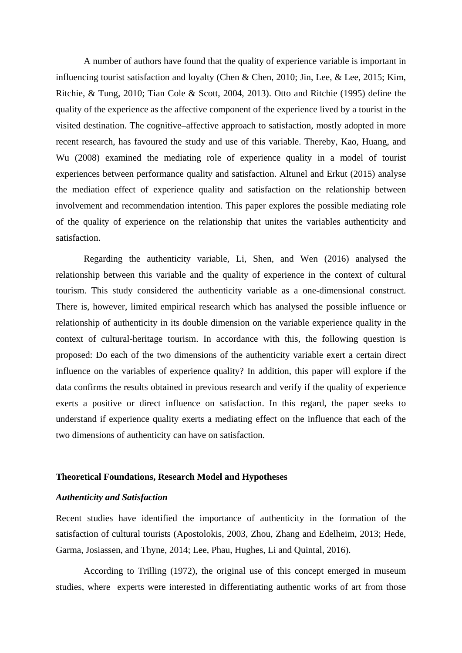A number of authors have found that the quality of experience variable is important in influencing tourist satisfaction and loyalty (Chen & Chen, 2010; Jin, Lee, & Lee, 2015; Kim, Ritchie, & Tung, 2010; Tian Cole & Scott, 2004, 2013). Otto and Ritchie (1995) define the quality of the experience as the affective component of the experience lived by a tourist in the visited destination. The cognitive–affective approach to satisfaction, mostly adopted in more recent research, has favoured the study and use of this variable. Thereby, Kao, Huang, and Wu (2008) examined the mediating role of experience quality in a model of tourist experiences between performance quality and satisfaction. Altunel and Erkut (2015) analyse the mediation effect of experience quality and satisfaction on the relationship between involvement and recommendation intention. This paper explores the possible mediating role of the quality of experience on the relationship that unites the variables authenticity and satisfaction.

Regarding the authenticity variable, Li, Shen, and Wen (2016) analysed the relationship between this variable and the quality of experience in the context of cultural tourism. This study considered the authenticity variable as a one-dimensional construct. There is, however, limited empirical research which has analysed the possible influence or relationship of authenticity in its double dimension on the variable experience quality in the context of cultural-heritage tourism. In accordance with this, the following question is proposed: Do each of the two dimensions of the authenticity variable exert a certain direct influence on the variables of experience quality? In addition, this paper will explore if the data confirms the results obtained in previous research and verify if the quality of experience exerts a positive or direct influence on satisfaction. In this regard, the paper seeks to understand if experience quality exerts a mediating effect on the influence that each of the two dimensions of authenticity can have on satisfaction.

#### **Theoretical Foundations, Research Model and Hypotheses**

# *Authenticity and Satisfaction*

Recent studies have identified the importance of authenticity in the formation of the satisfaction of cultural tourists (Apostolokis, 2003, Zhou, Zhang and Edelheim, 2013; Hede, Garma, Josiassen, and Thyne, 2014; Lee, Phau, Hughes, Li and Quintal, 2016).

According to Trilling (1972), the original use of this concept emerged in museum studies, where experts were interested in differentiating authentic works of art from those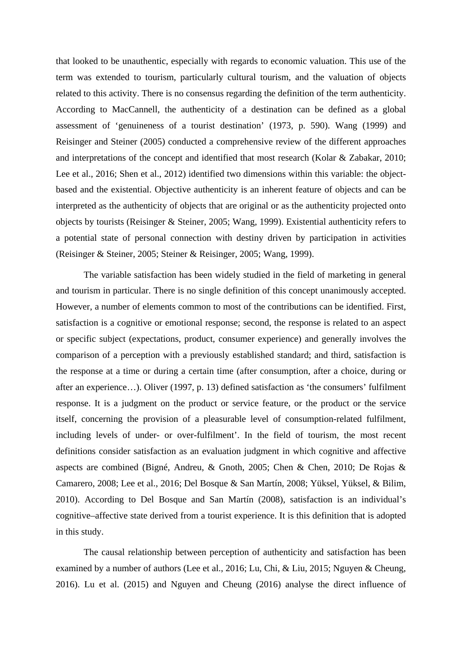that looked to be unauthentic, especially with regards to economic valuation. This use of the term was extended to tourism, particularly cultural tourism, and the valuation of objects related to this activity. There is no consensus regarding the definition of the term authenticity. According to MacCannell, the authenticity of a destination can be defined as a global assessment of 'genuineness of a tourist destination' (1973, p. 590). Wang (1999) and Reisinger and Steiner (2005) conducted a comprehensive review of the different approaches and interpretations of the concept and identified that most research (Kolar & Zabakar, 2010; Lee et al., 2016; Shen et al., 2012) identified two dimensions within this variable: the objectbased and the existential. Objective authenticity is an inherent feature of objects and can be interpreted as the authenticity of objects that are original or as the authenticity projected onto objects by tourists (Reisinger & Steiner, 2005; Wang, 1999). Existential authenticity refers to a potential state of personal connection with destiny driven by participation in activities (Reisinger & Steiner, 2005; Steiner & Reisinger, 2005; Wang, 1999).

The variable satisfaction has been widely studied in the field of marketing in general and tourism in particular. There is no single definition of this concept unanimously accepted. However, a number of elements common to most of the contributions can be identified. First, satisfaction is a cognitive or emotional response; second, the response is related to an aspect or specific subject (expectations, product, consumer experience) and generally involves the comparison of a perception with a previously established standard; and third, satisfaction is the response at a time or during a certain time (after consumption, after a choice, during or after an experience…). Oliver (1997, p. 13) defined satisfaction as 'the consumers' fulfilment response. It is a judgment on the product or service feature, or the product or the service itself, concerning the provision of a pleasurable level of consumption-related fulfilment, including levels of under- or over-fulfilment'. In the field of tourism, the most recent definitions consider satisfaction as an evaluation judgment in which cognitive and affective aspects are combined (Bigné, Andreu, & Gnoth, 2005; Chen & Chen, 2010; De Rojas & Camarero, 2008; Lee et al., 2016; Del Bosque & San Martín, 2008; Yüksel, Yüksel, & Bilim, 2010). According to Del Bosque and San Martín (2008), satisfaction is an individual's cognitive–affective state derived from a tourist experience. It is this definition that is adopted in this study.

The causal relationship between perception of authenticity and satisfaction has been examined by a number of authors (Lee et al., 2016; Lu, Chi, & Liu, 2015; Nguyen & Cheung, 2016). Lu et al. (2015) and Nguyen and Cheung (2016) analyse the direct influence of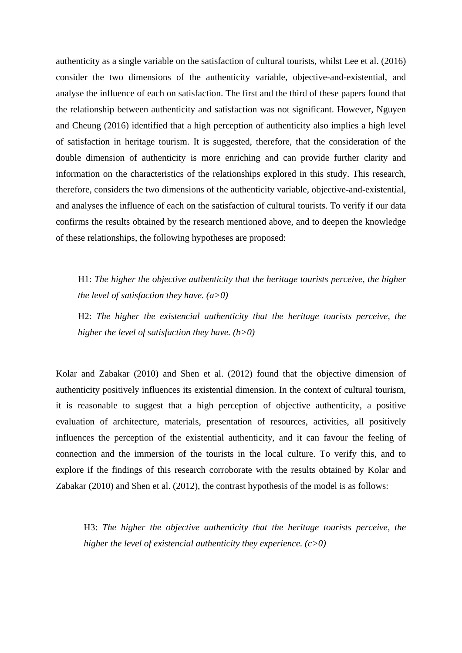authenticity as a single variable on the satisfaction of cultural tourists, whilst Lee et al. (2016) consider the two dimensions of the authenticity variable, objective-and-existential, and analyse the influence of each on satisfaction. The first and the third of these papers found that the relationship between authenticity and satisfaction was not significant. However, Nguyen and Cheung (2016) identified that a high perception of authenticity also implies a high level of satisfaction in heritage tourism. It is suggested, therefore, that the consideration of the double dimension of authenticity is more enriching and can provide further clarity and information on the characteristics of the relationships explored in this study. This research, therefore, considers the two dimensions of the authenticity variable, objective-and-existential, and analyses the influence of each on the satisfaction of cultural tourists. To verify if our data confirms the results obtained by the research mentioned above, and to deepen the knowledge of these relationships, the following hypotheses are proposed:

H1: *The higher the objective authenticity that the heritage tourists perceive, the higher the level of satisfaction they have. (a>0)*

H2: *The higher the existencial authenticity that the heritage tourists perceive, the higher the level of satisfaction they have. (b>0)*

Kolar and Zabakar (2010) and Shen et al. (2012) found that the objective dimension of authenticity positively influences its existential dimension. In the context of cultural tourism, it is reasonable to suggest that a high perception of objective authenticity, a positive evaluation of architecture, materials, presentation of resources, activities, all positively influences the perception of the existential authenticity, and it can favour the feeling of connection and the immersion of the tourists in the local culture. To verify this, and to explore if the findings of this research corroborate with the results obtained by Kolar and Zabakar (2010) and Shen et al. (2012), the contrast hypothesis of the model is as follows:

H3: *The higher the objective authenticity that the heritage tourists perceive, the higher the level of existencial authenticity they experience. (c>0)*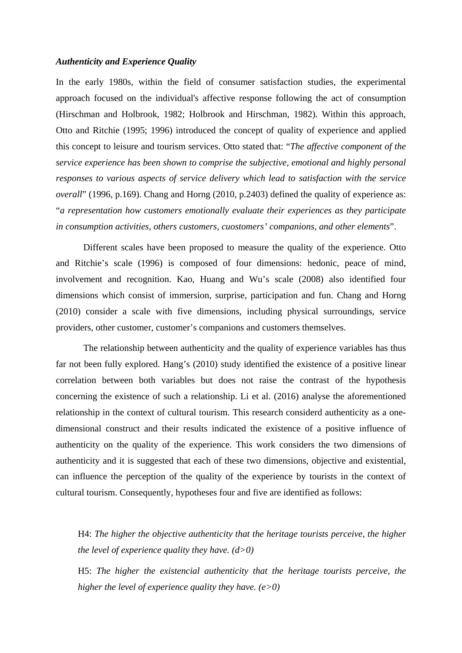# *Authenticity and Experience Quality*

In the early 1980s, within the field of consumer satisfaction studies, the experimental approach focused on the individual's affective response following the act of consumption (Hirschman and Holbrook, 1982; Holbrook and Hirschman, 1982). Within this approach, Otto and Ritchie (1995; 1996) introduced the concept of quality of experience and applied this concept to leisure and tourism services. Otto stated that: "*The affective component of the service experience has been shown to comprise the subjective, emotional and highly personal responses to various aspects of service delivery which lead to satisfaction with the service overall*" (1996, p.169). Chang and Horng (2010, p.2403) defined the quality of experience as: "*a representation how customers emotionally evaluate their experiences as they participate in consumption activities, others customers, cuostomers' companions, and other elements*".

Different scales have been proposed to measure the quality of the experience. Otto and Ritchie's scale (1996) is composed of four dimensions: hedonic, peace of mind, involvement and recognition. Kao, Huang and Wu's scale (2008) also identified four dimensions which consist of immersion, surprise, participation and fun. Chang and Horng (2010) consider a scale with five dimensions, including physical surroundings, service providers, other customer, customer's companions and customers themselves.

The relationship between authenticity and the quality of experience variables has thus far not been fully explored. Hang's (2010) study identified the existence of a positive linear correlation between both variables but does not raise the contrast of the hypothesis concerning the existence of such a relationship. Li et al. (2016) analyse the aforementioned relationship in the context of cultural tourism. This research considerd authenticity as a onedimensional construct and their results indicated the existence of a positive influence of authenticity on the quality of the experience. This work considers the two dimensions of authenticity and it is suggested that each of these two dimensions, objective and existential, can influence the perception of the quality of the experience by tourists in the context of cultural tourism. Consequently, hypotheses four and five are identified as follows:

H4: *The higher the objective authenticity that the heritage tourists perceive, the higher the level of experience quality they have. (d>0)*

H5: *The higher the existencial authenticity that the heritage tourists perceive, the higher the level of experience quality they have. (e>0)*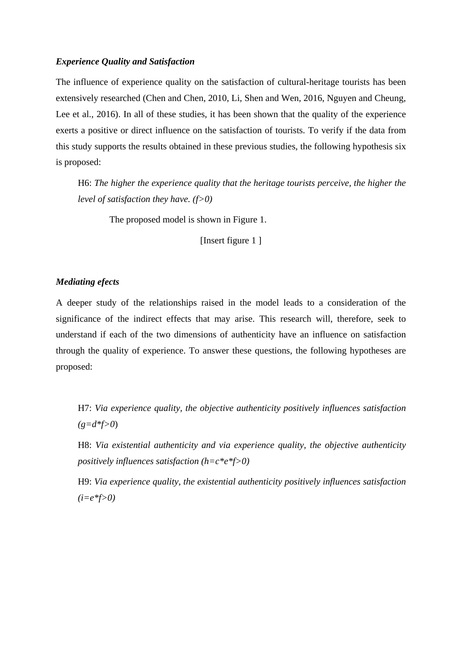# *Experience Quality and Satisfaction*

The influence of experience quality on the satisfaction of cultural-heritage tourists has been extensively researched (Chen and Chen, 2010, Li, Shen and Wen, 2016, Nguyen and Cheung, Lee et al., 2016). In all of these studies, it has been shown that the quality of the experience exerts a positive or direct influence on the satisfaction of tourists. To verify if the data from this study supports the results obtained in these previous studies, the following hypothesis six is proposed:

H6: *The higher the experience quality that the heritage tourists perceive, the higher the level of satisfaction they have. (f>0)*

The proposed model is shown in Figure 1.

[Insert figure 1 ]

# *Mediating efects*

A deeper study of the relationships raised in the model leads to a consideration of the significance of the indirect effects that may arise. This research will, therefore, seek to understand if each of the two dimensions of authenticity have an influence on satisfaction through the quality of experience. To answer these questions, the following hypotheses are proposed:

H7: *Via experience quality, the objective authenticity positively influences satisfaction*   $(g=d*f>0)$ 

H8: *Via existential authenticity and via experience quality, the objective authenticity positively influences satisfaction (h=c\*e\*f>0)*

H9: *Via experience quality, the existential authenticity positively influences satisfaction (i=e\*f>0)*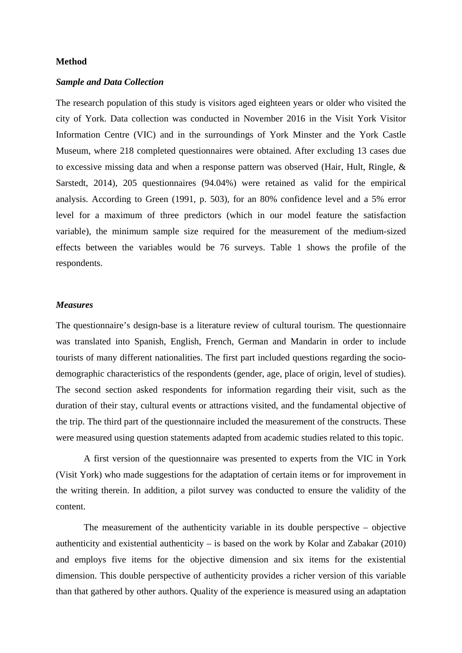#### **Method**

#### *Sample and Data Collection*

The research population of this study is visitors aged eighteen years or older who visited the city of York. Data collection was conducted in November 2016 in the Visit York Visitor Information Centre (VIC) and in the surroundings of York Minster and the York Castle Museum, where 218 completed questionnaires were obtained. After excluding 13 cases due to excessive missing data and when a response pattern was observed (Hair, Hult, Ringle, & Sarstedt, 2014), 205 questionnaires (94.04%) were retained as valid for the empirical analysis. According to Green (1991, p. 503), for an 80% confidence level and a 5% error level for a maximum of three predictors (which in our model feature the satisfaction variable), the minimum sample size required for the measurement of the medium-sized effects between the variables would be 76 surveys. Table 1 shows the profile of the respondents.

# *Measures*

The questionnaire's design-base is a literature review of cultural tourism. The questionnaire was translated into Spanish, English, French, German and Mandarin in order to include tourists of many different nationalities. The first part included questions regarding the sociodemographic characteristics of the respondents (gender, age, place of origin, level of studies). The second section asked respondents for information regarding their visit, such as the duration of their stay, cultural events or attractions visited, and the fundamental objective of the trip. The third part of the questionnaire included the measurement of the constructs. These were measured using question statements adapted from academic studies related to this topic.

A first version of the questionnaire was presented to experts from the VIC in York (Visit York) who made suggestions for the adaptation of certain items or for improvement in the writing therein. In addition, a pilot survey was conducted to ensure the validity of the content.

The measurement of the authenticity variable in its double perspective – objective authenticity and existential authenticity – is based on the work by Kolar and Zabakar  $(2010)$ and employs five items for the objective dimension and six items for the existential dimension. This double perspective of authenticity provides a richer version of this variable than that gathered by other authors. Quality of the experience is measured using an adaptation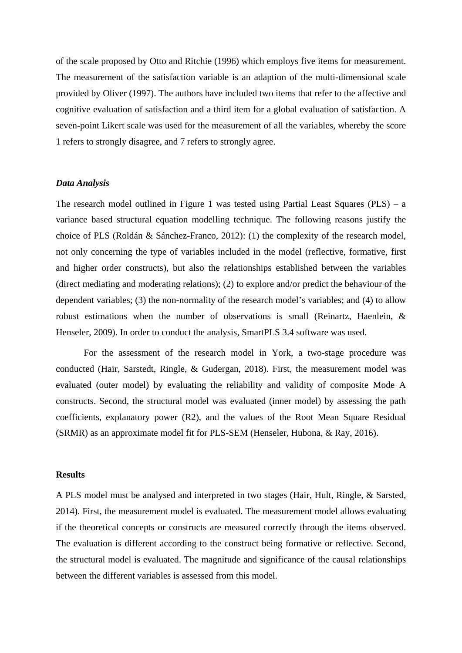of the scale proposed by Otto and Ritchie (1996) which employs five items for measurement. The measurement of the satisfaction variable is an adaption of the multi-dimensional scale provided by Oliver (1997). The authors have included two items that refer to the affective and cognitive evaluation of satisfaction and a third item for a global evaluation of satisfaction. A seven-point Likert scale was used for the measurement of all the variables, whereby the score 1 refers to strongly disagree, and 7 refers to strongly agree.

# *Data Analysis*

The research model outlined in Figure 1 was tested using Partial Least Squares  $(PLS) - a$ variance based structural equation modelling technique. The following reasons justify the choice of PLS (Roldán & Sánchez-Franco, 2012): (1) the complexity of the research model, not only concerning the type of variables included in the model (reflective, formative, first and higher order constructs), but also the relationships established between the variables (direct mediating and moderating relations); (2) to explore and/or predict the behaviour of the dependent variables; (3) the non-normality of the research model's variables; and (4) to allow robust estimations when the number of observations is small (Reinartz, Haenlein, & Henseler, 2009). In order to conduct the analysis, SmartPLS 3.4 software was used.

For the assessment of the research model in York, a two-stage procedure was conducted (Hair, Sarstedt, Ringle, & Gudergan, 2018). First, the measurement model was evaluated (outer model) by evaluating the reliability and validity of composite Mode A constructs. Second, the structural model was evaluated (inner model) by assessing the path coefficients, explanatory power (R2), and the values of the Root Mean Square Residual (SRMR) as an approximate model fit for PLS-SEM (Henseler, Hubona, & Ray, 2016).

# **Results**

A PLS model must be analysed and interpreted in two stages (Hair, Hult, Ringle, & Sarsted, 2014). First, the measurement model is evaluated. The measurement model allows evaluating if the theoretical concepts or constructs are measured correctly through the items observed. The evaluation is different according to the construct being formative or reflective. Second, the structural model is evaluated. The magnitude and significance of the causal relationships between the different variables is assessed from this model.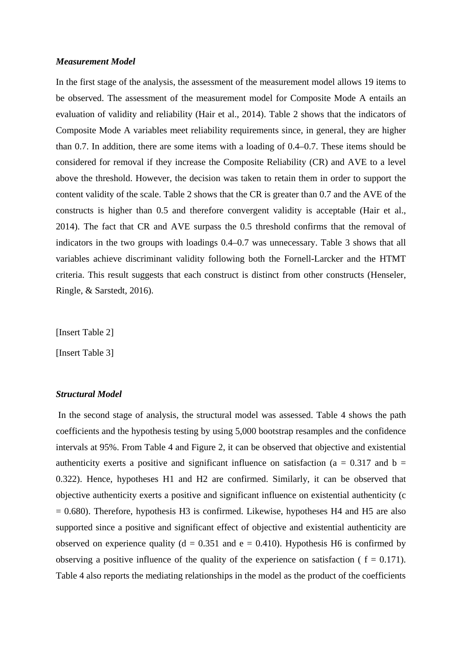#### *Measurement Model*

In the first stage of the analysis, the assessment of the measurement model allows 19 items to be observed. The assessment of the measurement model for Composite Mode A entails an evaluation of validity and reliability (Hair et al., 2014). Table 2 shows that the indicators of Composite Mode A variables meet reliability requirements since, in general, they are higher than 0.7. In addition, there are some items with a loading of 0.4–0.7. These items should be considered for removal if they increase the Composite Reliability (CR) and AVE to a level above the threshold. However, the decision was taken to retain them in order to support the content validity of the scale. Table 2 shows that the CR is greater than 0.7 and the AVE of the constructs is higher than 0.5 and therefore convergent validity is acceptable (Hair et al., 2014). The fact that CR and AVE surpass the 0.5 threshold confirms that the removal of indicators in the two groups with loadings 0.4–0.7 was unnecessary. Table 3 shows that all variables achieve discriminant validity following both the Fornell-Larcker and the HTMT criteria. This result suggests that each construct is distinct from other constructs (Henseler, Ringle, & Sarstedt, 2016).

[Insert Table 2]

[Insert Table 3]

#### *Structural Model*

In the second stage of analysis, the structural model was assessed. Table 4 shows the path coefficients and the hypothesis testing by using 5,000 bootstrap resamples and the confidence intervals at 95%. From Table 4 and Figure 2, it can be observed that objective and existential authenticity exerts a positive and significant influence on satisfaction ( $a = 0.317$  and  $b =$ 0.322). Hence, hypotheses H1 and H2 are confirmed. Similarly, it can be observed that objective authenticity exerts a positive and significant influence on existential authenticity (c  $= 0.680$ ). Therefore, hypothesis H3 is confirmed. Likewise, hypotheses H4 and H5 are also supported since a positive and significant effect of objective and existential authenticity are observed on experience quality ( $d = 0.351$  and  $e = 0.410$ ). Hypothesis H6 is confirmed by observing a positive influence of the quality of the experience on satisfaction (  $f = 0.171$ ). Table 4 also reports the mediating relationships in the model as the product of the coefficients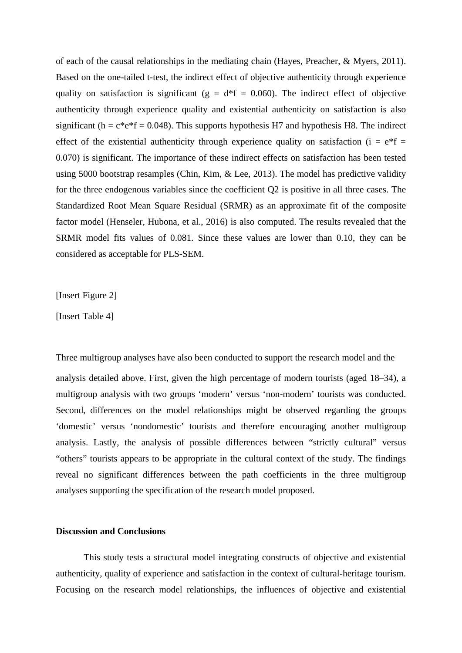of each of the causal relationships in the mediating chain (Hayes, Preacher, & Myers, 2011). Based on the one-tailed t-test, the indirect effect of objective authenticity through experience quality on satisfaction is significant ( $g = d*f = 0.060$ ). The indirect effect of objective authenticity through experience quality and existential authenticity on satisfaction is also significant (h =  $c*e*f = 0.048$ ). This supports hypothesis H7 and hypothesis H8. The indirect effect of the existential authenticity through experience quality on satisfaction ( $i = e^*f =$ 0.070) is significant. The importance of these indirect effects on satisfaction has been tested using 5000 bootstrap resamples (Chin, Kim, & Lee, 2013). The model has predictive validity for the three endogenous variables since the coefficient Q2 is positive in all three cases. The Standardized Root Mean Square Residual (SRMR) as an approximate fit of the composite factor model (Henseler, Hubona, et al., 2016) is also computed. The results revealed that the SRMR model fits values of 0.081. Since these values are lower than 0.10, they can be considered as acceptable for PLS-SEM.

[Insert Figure 2]

[Insert Table 4]

Three multigroup analyses have also been conducted to support the research model and the

analysis detailed above. First, given the high percentage of modern tourists (aged 18–34), a multigroup analysis with two groups 'modern' versus 'non-modern' tourists was conducted. Second, differences on the model relationships might be observed regarding the groups 'domestic' versus 'nondomestic' tourists and therefore encouraging another multigroup analysis. Lastly, the analysis of possible differences between "strictly cultural" versus "others" tourists appears to be appropriate in the cultural context of the study. The findings reveal no significant differences between the path coefficients in the three multigroup analyses supporting the specification of the research model proposed.

# **Discussion and Conclusions**

This study tests a structural model integrating constructs of objective and existential authenticity, quality of experience and satisfaction in the context of cultural-heritage tourism. Focusing on the research model relationships, the influences of objective and existential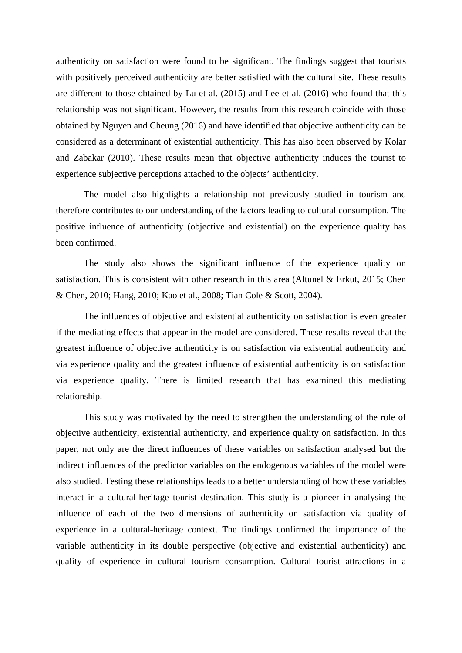authenticity on satisfaction were found to be significant. The findings suggest that tourists with positively perceived authenticity are better satisfied with the cultural site. These results are different to those obtained by Lu et al. (2015) and Lee et al. (2016) who found that this relationship was not significant. However, the results from this research coincide with those obtained by Nguyen and Cheung (2016) and have identified that objective authenticity can be considered as a determinant of existential authenticity. This has also been observed by Kolar and Zabakar (2010). These results mean that objective authenticity induces the tourist to experience subjective perceptions attached to the objects' authenticity.

The model also highlights a relationship not previously studied in tourism and therefore contributes to our understanding of the factors leading to cultural consumption. The positive influence of authenticity (objective and existential) on the experience quality has been confirmed.

The study also shows the significant influence of the experience quality on satisfaction. This is consistent with other research in this area (Altunel & Erkut, 2015; Chen & Chen, 2010; Hang, 2010; Kao et al., 2008; Tian Cole & Scott, 2004).

The influences of objective and existential authenticity on satisfaction is even greater if the mediating effects that appear in the model are considered. These results reveal that the greatest influence of objective authenticity is on satisfaction via existential authenticity and via experience quality and the greatest influence of existential authenticity is on satisfaction via experience quality. There is limited research that has examined this mediating relationship.

This study was motivated by the need to strengthen the understanding of the role of objective authenticity, existential authenticity, and experience quality on satisfaction. In this paper, not only are the direct influences of these variables on satisfaction analysed but the indirect influences of the predictor variables on the endogenous variables of the model were also studied. Testing these relationships leads to a better understanding of how these variables interact in a cultural-heritage tourist destination. This study is a pioneer in analysing the influence of each of the two dimensions of authenticity on satisfaction via quality of experience in a cultural-heritage context. The findings confirmed the importance of the variable authenticity in its double perspective (objective and existential authenticity) and quality of experience in cultural tourism consumption. Cultural tourist attractions in a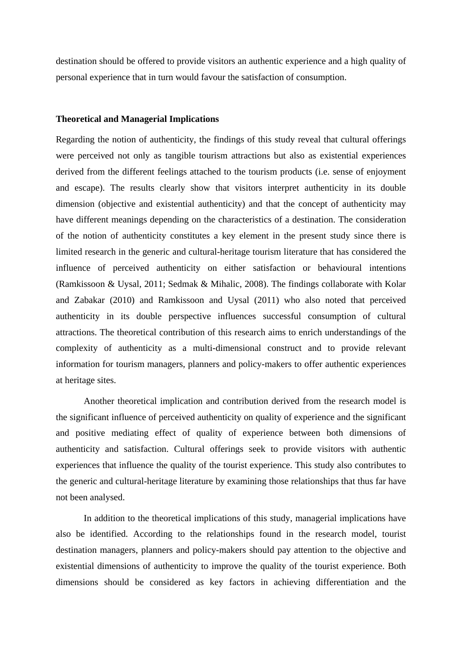destination should be offered to provide visitors an authentic experience and a high quality of personal experience that in turn would favour the satisfaction of consumption.

#### **Theoretical and Managerial Implications**

Regarding the notion of authenticity, the findings of this study reveal that cultural offerings were perceived not only as tangible tourism attractions but also as existential experiences derived from the different feelings attached to the tourism products (i.e. sense of enjoyment and escape). The results clearly show that visitors interpret authenticity in its double dimension (objective and existential authenticity) and that the concept of authenticity may have different meanings depending on the characteristics of a destination. The consideration of the notion of authenticity constitutes a key element in the present study since there is limited research in the generic and cultural-heritage tourism literature that has considered the influence of perceived authenticity on either satisfaction or behavioural intentions (Ramkissoon & Uysal, 2011; Sedmak & Mihalic, 2008). The findings collaborate with Kolar and Zabakar (2010) and Ramkissoon and Uysal (2011) who also noted that perceived authenticity in its double perspective influences successful consumption of cultural attractions. The theoretical contribution of this research aims to enrich understandings of the complexity of authenticity as a multi-dimensional construct and to provide relevant information for tourism managers, planners and policy-makers to offer authentic experiences at heritage sites.

Another theoretical implication and contribution derived from the research model is the significant influence of perceived authenticity on quality of experience and the significant and positive mediating effect of quality of experience between both dimensions of authenticity and satisfaction. Cultural offerings seek to provide visitors with authentic experiences that influence the quality of the tourist experience. This study also contributes to the generic and cultural-heritage literature by examining those relationships that thus far have not been analysed.

In addition to the theoretical implications of this study, managerial implications have also be identified. According to the relationships found in the research model, tourist destination managers, planners and policy-makers should pay attention to the objective and existential dimensions of authenticity to improve the quality of the tourist experience. Both dimensions should be considered as key factors in achieving differentiation and the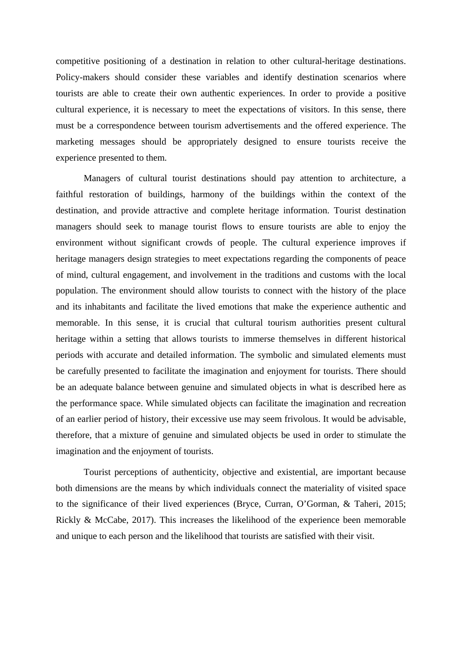competitive positioning of a destination in relation to other cultural-heritage destinations. Policy-makers should consider these variables and identify destination scenarios where tourists are able to create their own authentic experiences. In order to provide a positive cultural experience, it is necessary to meet the expectations of visitors. In this sense, there must be a correspondence between tourism advertisements and the offered experience. The marketing messages should be appropriately designed to ensure tourists receive the experience presented to them.

Managers of cultural tourist destinations should pay attention to architecture, a faithful restoration of buildings, harmony of the buildings within the context of the destination, and provide attractive and complete heritage information. Tourist destination managers should seek to manage tourist flows to ensure tourists are able to enjoy the environment without significant crowds of people. The cultural experience improves if heritage managers design strategies to meet expectations regarding the components of peace of mind, cultural engagement, and involvement in the traditions and customs with the local population. The environment should allow tourists to connect with the history of the place and its inhabitants and facilitate the lived emotions that make the experience authentic and memorable. In this sense, it is crucial that cultural tourism authorities present cultural heritage within a setting that allows tourists to immerse themselves in different historical periods with accurate and detailed information. The symbolic and simulated elements must be carefully presented to facilitate the imagination and enjoyment for tourists. There should be an adequate balance between genuine and simulated objects in what is described here as the performance space. While simulated objects can facilitate the imagination and recreation of an earlier period of history, their excessive use may seem frivolous. It would be advisable, therefore, that a mixture of genuine and simulated objects be used in order to stimulate the imagination and the enjoyment of tourists.

Tourist perceptions of authenticity, objective and existential, are important because both dimensions are the means by which individuals connect the materiality of visited space to the significance of their lived experiences (Bryce, Curran, O'Gorman, & Taheri, 2015; Rickly & McCabe, 2017). This increases the likelihood of the experience been memorable and unique to each person and the likelihood that tourists are satisfied with their visit.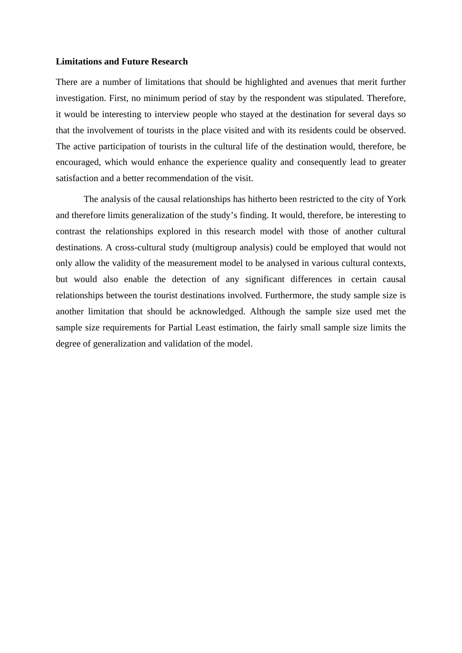#### **Limitations and Future Research**

There are a number of limitations that should be highlighted and avenues that merit further investigation. First, no minimum period of stay by the respondent was stipulated. Therefore, it would be interesting to interview people who stayed at the destination for several days so that the involvement of tourists in the place visited and with its residents could be observed. The active participation of tourists in the cultural life of the destination would, therefore, be encouraged, which would enhance the experience quality and consequently lead to greater satisfaction and a better recommendation of the visit.

The analysis of the causal relationships has hitherto been restricted to the city of York and therefore limits generalization of the study's finding. It would, therefore, be interesting to contrast the relationships explored in this research model with those of another cultural destinations. A cross-cultural study (multigroup analysis) could be employed that would not only allow the validity of the measurement model to be analysed in various cultural contexts, but would also enable the detection of any significant differences in certain causal relationships between the tourist destinations involved. Furthermore, the study sample size is another limitation that should be acknowledged. Although the sample size used met the sample size requirements for Partial Least estimation, the fairly small sample size limits the degree of generalization and validation of the model.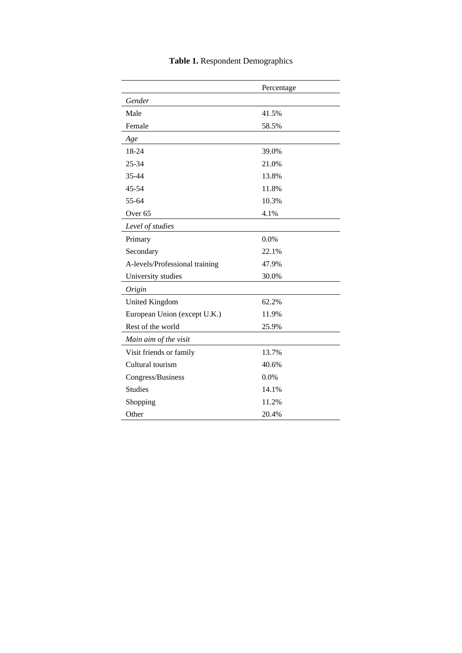|                                | Percentage |
|--------------------------------|------------|
| Gender                         |            |
| Male                           | 41.5%      |
| Female                         | 58.5%      |
| Age                            |            |
| 18-24                          | 39.0%      |
| 25-34                          | 21.0%      |
| 35-44                          | 13.8%      |
| 45-54                          | 11.8%      |
| 55-64                          | 10.3%      |
| Over <sub>65</sub>             | 4.1%       |
| Level of studies               |            |
| Primary                        | 0.0%       |
| Secondary                      | 22.1%      |
| A-levels/Professional training | 47.9%      |
| University studies             | 30.0%      |
| Origin                         |            |
| <b>United Kingdom</b>          | 62.2%      |
| European Union (except U.K.)   | 11.9%      |
| Rest of the world              | 25.9%      |
| Main aim of the visit          |            |
| Visit friends or family        | 13.7%      |
| Cultural tourism               | 40.6%      |
| Congress/Business              | 0.0%       |
| <b>Studies</b>                 | 14.1%      |
| Shopping                       | 11.2%      |
| Other                          | 20.4%      |

# **Table 1.** Respondent Demographics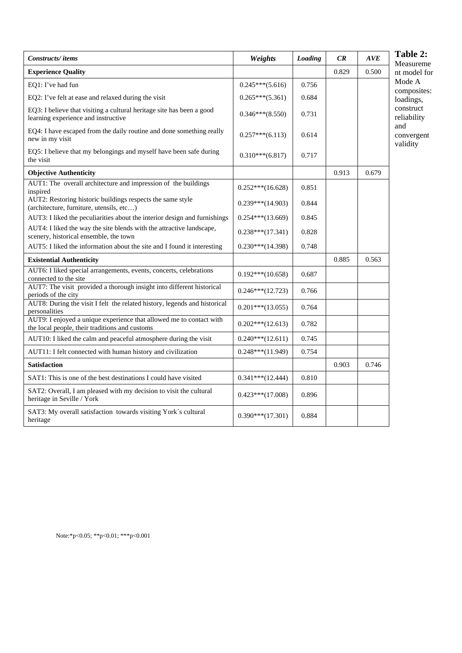| Constructs/items                                                                                                      | Weights             | Loading | CR    | AVE   |
|-----------------------------------------------------------------------------------------------------------------------|---------------------|---------|-------|-------|
| <b>Experience Quality</b>                                                                                             |                     |         | 0.829 | 0.500 |
| EQ1: I've had fun                                                                                                     | $0.245***(5.616)$   | 0.756   |       |       |
| EQ2: I've felt at ease and relaxed during the visit                                                                   | $0.265***(5.361)$   | 0.684   |       |       |
| EQ3: I believe that visiting a cultural heritage site has been a good<br>learning experience and instructive          | $0.346***(8.550)$   | 0.731   |       |       |
| EQ4: I have escaped from the daily routine and done something really<br>new in my visit                               | $0.257***(6.113)$   | 0.614   |       |       |
| EQ5: I believe that my belongings and myself have been safe during<br>the visit                                       | $0.310***(6.817)$   | 0.717   |       |       |
| <b>Objective Authenticity</b>                                                                                         |                     |         | 0.913 | 0.679 |
| AUT1: The overall architecture and impression of the buildings<br>inspired                                            | $0.252***(16.628)$  | 0.851   |       |       |
| AUT2: Restoring historic buildings respects the same style<br>(architecture, furniture, utensils, etc)                | $0.239***(14.903)$  | 0.844   |       |       |
| AUT3: I liked the peculiarities about the interior design and furnishings                                             | $0.254***$ (13.669) | 0.845   |       |       |
| AUT4: I liked the way the site blends with the attractive landscape,<br>scenery, historical ensemble, the town        | $0.238***(17.341)$  | 0.828   |       |       |
| AUT5: I liked the information about the site and I found it interesting                                               | $0.230***(14.398)$  | 0.748   |       |       |
| <b>Existential Authenticity</b>                                                                                       |                     |         | 0.885 | 0.563 |
| AUT6: I liked special arrangements, events, concerts, celebrations<br>connected to the site                           | $0.192***(10.658)$  | 0.687   |       |       |
| AUT7: The visit provided a thorough insight into different historical<br>periods of the city                          | $0.246***(12.723)$  | 0.766   |       |       |
| AUT8: During the visit I felt the related history, legends and historical<br>personalities                            | $0.201***$ (13.055) | 0.764   |       |       |
| AUT9: I enjoyed a unique experience that allowed me to contact with<br>the local people, their traditions and customs | $0.202***(12.613)$  | 0.782   |       |       |
| AUT10: I liked the calm and peaceful atmosphere during the visit                                                      | $0.240***(12.611)$  | 0.745   |       |       |
| AUT11: I felt connected with human history and civilization                                                           | $0.248***(11.949)$  | 0.754   |       |       |
| <b>Satisfaction</b>                                                                                                   |                     |         | 0.903 | 0.746 |
| SAT1: This is one of the best destinations I could have visited                                                       | $0.341***(12.444)$  | 0.810   |       |       |
| SAT2: Overall, I am pleased with my decision to visit the cultural<br>heritage in Seville / York                      | $0.423***(17.008)$  | 0.896   |       |       |
| SAT3: My overall satisfaction towards visiting York's cultural<br>heritage                                            | $0.390***(17.301)$  | 0.884   |       |       |

**Re** 2: ureme

del for  $A$ osites: ngs, ruct ility ergent ity

Note:\*p<0.05; \*\*p<0.01; \*\*\*p<0.001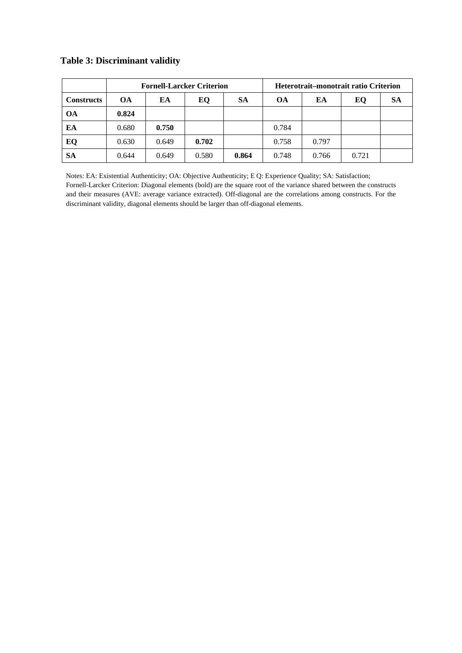# **Table 3: Discriminant validity**

|                   | <b>Fornell-Larcker Criterion</b> |       |       | <b>Heterotrait–monotrait ratio Criterion</b> |           |       |       |    |
|-------------------|----------------------------------|-------|-------|----------------------------------------------|-----------|-------|-------|----|
| <b>Constructs</b> | <b>OA</b>                        | EA    | EQ    | SА                                           | <b>OA</b> | EA    | EQ    | SА |
| OА                | 0.824                            |       |       |                                              |           |       |       |    |
| EA                | 0.680                            | 0.750 |       |                                              | 0.784     |       |       |    |
| EQ                | 0.630                            | 0.649 | 0.702 |                                              | 0.758     | 0.797 |       |    |
| <b>SA</b>         | 0.644                            | 0.649 | 0.580 | 0.864                                        | 0.748     | 0.766 | 0.721 |    |

Notes: EA: Existential Authenticity; OA: Objective Authenticity; E Q: Experience Quality; SA: Satisfaction; Fornell-Larcker Criterion: Diagonal elements (bold) are the square root of the variance shared between the constructs and their measures (AVE: average variance extracted). Off-diagonal are the correlations among constructs. For the discriminant validity, diagonal elements should be larger than off-diagonal elements.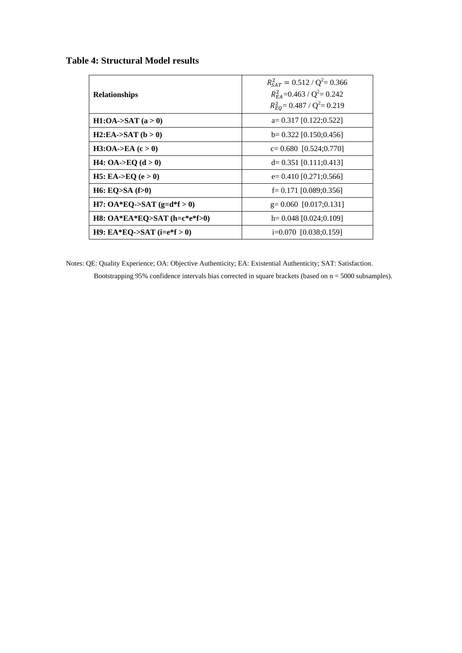|  | <b>Table 4: Structural Model results</b> |  |  |
|--|------------------------------------------|--|--|
|--|------------------------------------------|--|--|

| <b>Relationships</b>                 | $R_{SAT}^2 = 0.512 / Q^2 = 0.366$<br>$R_{FA}^2$ =0.463 / Q <sup>2</sup> = 0.242<br>$R_{EQ}^2$ = 0.487 / Q <sup>2</sup> = 0.219 |
|--------------------------------------|--------------------------------------------------------------------------------------------------------------------------------|
| $H1:OA \rightarrow SAT (a > 0)$      | $a= 0.317$ [0.122;0.522]                                                                                                       |
| $H2:EA\rightarrow SAT (b > 0)$       | $b=0.322$ [0.150;0.456]                                                                                                        |
| $H3:OA \rightarrow EA$ (c > 0)       | $c=0.680$ [0.524;0.770]                                                                                                        |
| H4: OA->EQ $(d > 0)$                 | $d= 0.351$ [0.111;0.413]                                                                                                       |
| <b>H5:</b> EA->EQ $(e > 0)$          | $e= 0.410$ [0.271;0.566]                                                                                                       |
| H6: EQ>SA (f>0)                      | $f = 0.171$ [0.089;0.356]                                                                                                      |
| H7: $OA*EQ\rightarrow SAT (g=d*f>0)$ | $g=0.060$ [0.017;0.131]                                                                                                        |
| H8: $OA*EA*EQ>SAT (h=c*e*f>0)$       | $h = 0.048$ [0.024;0.109]                                                                                                      |
| H9: EA*EO->SAT $(i=e*f>0)$           | $i=0.070$ [0.038;0.159]                                                                                                        |

Notes: QE: Quality Experience; OA: Objective Authenticity; EA: Existential Authenticity; SAT: Satisfaction.

Bootstrapping 95% confidence intervals bias corrected in square brackets (based on n = 5000 subsamples).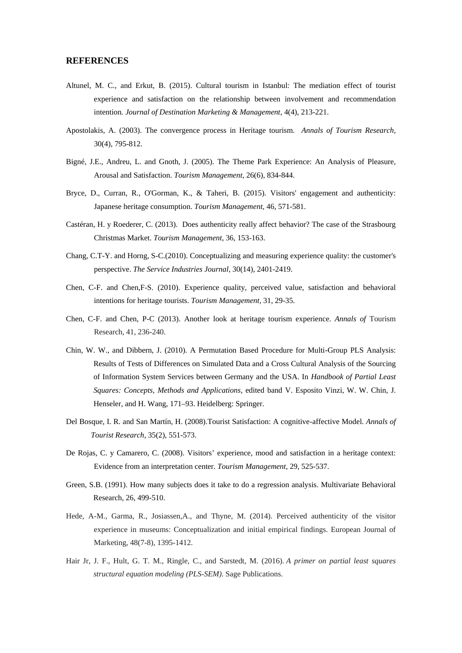#### **REFERENCES**

- Altunel, M. C., and Erkut, B. (2015). Cultural tourism in Istanbul: The mediation effect of tourist experience and satisfaction on the relationship between involvement and recommendation intention*. Journal of Destination Marketing & Management*, 4(4), 213-221.
- Apostolakis, A. (2003). The convergence process in Heritage tourism. *Annals of Tourism Research,* 30(4), 795-812.
- Bigné, J.E., Andreu, L. and Gnoth, J. (2005). The Theme Park Experience: An Analysis of Pleasure, Arousal and Satisfaction. *Tourism Management*, 26(6), 834-844.
- Bryce, D., Curran, R., O'Gorman, K., & Taheri, B. (2015). Visitors' engagement and authenticity: Japanese heritage consumption. *Tourism Management,* 46, 571-581.
- Castéran, H. y Roederer, C. (2013). Does authenticity really affect behavior? The case of the Strasbourg Christmas Market. *Tourism Management*, 36, 153-163.
- Chang, C.T-Y. and Horng, S-C.(2010). Conceptualizing and measuring experience quality: the customer's perspective. *The Service Industries Journal*, 30(14), 2401-2419.
- Chen, C-F. and Chen,F-S. (2010). Experience quality, perceived value, satisfaction and behavioral intentions for heritage tourists. *Tourism Management,* 31, 29-35.
- Chen, C-F. and Chen, P-C (2013). Another look at heritage tourism experience. *Annals of* Tourism Research, 41, 236-240.
- Chin, W. W., and Dibbern, J. (2010). A Permutation Based Procedure for Multi-Group PLS Analysis: Results of Tests of Differences on Simulated Data and a Cross Cultural Analysis of the Sourcing of Information System Services between Germany and the USA. In *Handbook of Partial Least Squares: Concepts, Methods and Applications,* edited band V. Esposito Vinzi, W. W. Chin, J. Henseler, and H. Wang, 171–93. Heidelberg: Springer.
- Del Bosque, I. R. and San Martín, H. (2008).Tourist Satisfaction: A cognitive-affective Model. *Annals of Tourist Research*, 35(2), 551-573.
- De Rojas, C. y Camarero, C. (2008). Visitors' experience, mood and satisfaction in a heritage context: Evidence from an interpretation center. *Tourism Management*, 29, 525-537.
- Green, S.B. (1991). How many subjects does it take to do a regression analysis. Multivariate Behavioral Research, 26, 499-510.
- Hede, A-M., Garma, R., Josiassen,A., and Thyne, M. (2014). Perceived authenticity of the visitor experience in museums: Conceptualization and initial empirical findings. European Journal of Marketing, 48(7-8), 1395-1412.
- Hair Jr, J. F., Hult, G. T. M., Ringle, C., and Sarstedt, M. (2016). *A primer on partial least squares structural equation modeling (PLS-SEM)*. Sage Publications.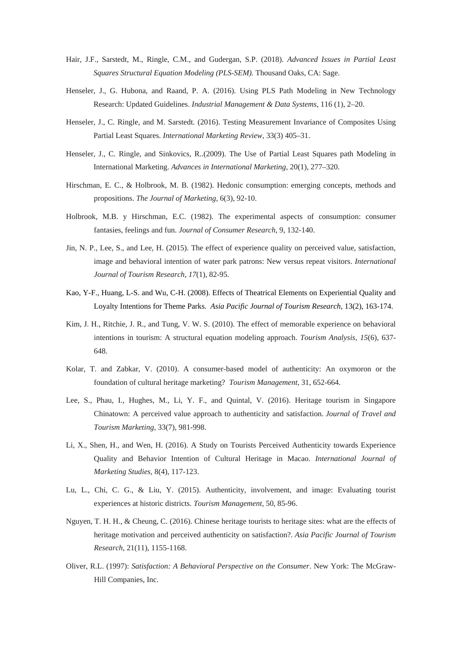- Hair, J.F., Sarstedt, M., Ringle, C.M., and Gudergan, S.P. (2018). *Advanced Issues in Partial Least Squares Structural Equation Modeling (PLS-SEM).* Thousand Oaks, CA: Sage.
- Henseler, J., G. Hubona, and Raand, P. A. (2016). Using PLS Path Modeling in New Technology Research: Updated Guidelines. *Industrial Management & Data Systems*, 116 (1), 2–20.
- Henseler, J., C. Ringle, and M. Sarstedt. (2016). Testing Measurement Invariance of Composites Using Partial Least Squares. *International Marketing Review*, 33(3) 405–31.
- Henseler, J., C. Ringle, and Sinkovics, R..(2009). The Use of Partial Least Squares path Modeling in International Marketing. *Advances in International Marketing,* 20(1), 277–320.
- Hirschman, E. C., & Holbrook, M. B. (1982). Hedonic consumption: emerging concepts, methods and propositions. *The Journal of Marketing*, 6(3), 92-10.
- Holbrook, M.B. y Hirschman, E.C. (1982). The experimental aspects of consumption: consumer fantasies, feelings and fun. *Journal of Consumer Research*, 9, 132-140.
- Jin, N. P., Lee, S., and Lee, H. (2015). The effect of experience quality on perceived value, satisfaction, image and behavioral intention of water park patrons: New versus repeat visitors. *International Journal of Tourism Research*, *17*(1), 82-95.
- Kao, Y-F., Huang, L-S. and Wu, C-H. (2008). Effects of Theatrical Elements on Experiential Quality and Loyalty Intentions for Theme Parks. *Asia Pacific Journal of Tourism Research,* 13(2), 163-174.
- Kim, J. H., Ritchie, J. R., and Tung, V. W. S. (2010). The effect of memorable experience on behavioral intentions in tourism: A structural equation modeling approach. *Tourism Analysis*, *15*(6), 637- 648.
- Kolar, T. and Zabkar, V. (2010). A consumer-based model of authenticity: An oxymoron or the foundation of cultural heritage marketing? *Tourism Management*, 31, 652-664.
- Lee, S., Phau, I., Hughes, M., Li, Y. F., and Quintal, V. (2016). Heritage tourism in Singapore Chinatown: A perceived value approach to authenticity and satisfaction. *Journal of Travel and Tourism Marketing,* 33(7), 981-998.
- Li, X., Shen, H., and Wen, H. (2016). A Study on Tourists Perceived Authenticity towards Experience Quality and Behavior Intention of Cultural Heritage in Macao. *International Journal of Marketing Studies,* 8(4), 117-123.
- Lu, L., Chi, C. G., & Liu, Y. (2015). Authenticity, involvement, and image: Evaluating tourist experiences at historic districts. *Tourism Management*, 50, 85-96.
- Nguyen, T. H. H., & Cheung, C. (2016). Chinese heritage tourists to heritage sites: what are the effects of heritage motivation and perceived authenticity on satisfaction?. *Asia Pacific Journal of Tourism Research*, 21(11), 1155-1168.
- Oliver, R.L. (1997): *Satisfaction: A Behavioral Perspective on the Consumer*. New York: The McGraw-Hill Companies, Inc.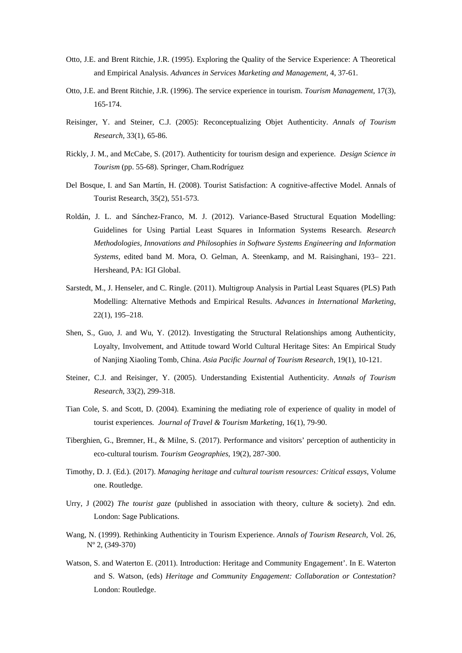- Otto, J.E. and Brent Ritchie, J.R. (1995). Exploring the Quality of the Service Experience: A Theoretical and Empirical Analysis. *Advances in Services Marketing and Management,* 4, 37-61.
- Otto, J.E. and Brent Ritchie, J.R. (1996). The service experience in tourism. *Tourism Management,* 17(3), 165-174.
- Reisinger, Y. and Steiner, C.J. (2005): Reconceptualizing Objet Authenticity. *Annals of Tourism Research,* 33(1), 65-86.
- Rickly, J. M., and McCabe, S. (2017). Authenticity for tourism design and experience. *Design Science in Tourism* (pp. 55-68). Springer, Cham.Rodríguez
- Del Bosque, I. and San Martín, H. (2008). Tourist Satisfaction: A cognitive-affective Model. Annals of Tourist Research, 35(2), 551-573.
- Roldán, J. L. and Sánchez-Franco, M. J. (2012). Variance-Based Structural Equation Modelling: Guidelines for Using Partial Least Squares in Information Systems Research. *Research Methodologies, Innovations and Philosophies in Software Systems Engineering and Information Systems*, edited band M. Mora, O. Gelman, A. Steenkamp, and M. Raisinghani, 193– 221. Hersheand, PA: IGI Global.
- Sarstedt, M., J. Henseler, and C. Ringle. (2011). Multigroup Analysis in Partial Least Squares (PLS) Path Modelling: Alternative Methods and Empirical Results. *Advances in International Marketing*, 22(1), 195–218.
- Shen, S., Guo, J. and Wu, Y. (2012). Investigating the Structural Relationships among Authenticity, Loyalty, Involvement, and Attitude toward World Cultural Heritage Sites: An Empirical Study of Nanjing Xiaoling Tomb, China. *Asia Pacific Journal of Tourism Research*, 19(1), 10-121.
- Steiner, C.J. and Reisinger, Y. (2005). Understanding Existential Authenticity. *Annals of Tourism Research,* 33(2), 299-318.
- Tian Cole, S. and Scott, D. (2004). Examining the mediating role of experience of quality in model of tourist experiences*. Journal of Travel & Tourism Marketing*, 16(1), 79-90.
- Tiberghien, G., Bremner, H., & Milne, S. (2017). Performance and visitors' perception of authenticity in eco-cultural tourism. *Tourism Geographies*, 19(2), 287-300.
- Timothy, D. J. (Ed.). (2017). *Managing heritage and cultural tourism resources: Critical essays*, Volume one. Routledge.
- Urry, J (2002) *The tourist gaze* (published in association with theory, culture & society). 2nd edn. London: Sage Publications.
- Wang, N. (1999). Rethinking Authenticity in Tourism Experience. *Annals of Tourism Research*, Vol. 26, Nº 2, (349-370)
- Watson, S. and Waterton E. (2011). Introduction: Heritage and Community Engagement'. In E. Waterton and S. Watson, (eds) *Heritage and Community Engagement: Collaboration or Contestation*? London: Routledge.